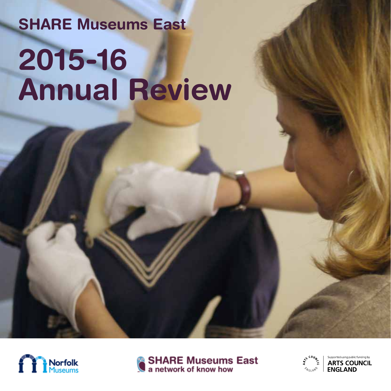# **SHARE Museums East 2015-16 Annual Review**





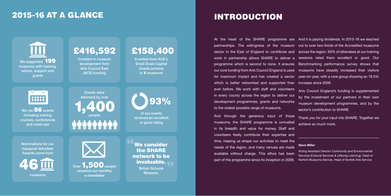## 2015-16 AT A GLANCE



including training courses, conferences and meet-ups

Nominations for our inaugural Volunteer Awards came from

Events were attended by over people **1,400** 93%

Invested in museum development from Arts Council East (ACE) funding

Invested from ACE's Small Scale Capital Grants scheme in 5 museums

of our events received an excellent or good rating

# £416,592 £158,400

British Schools Museum. **99** We consider the SHARE network to be

"

museums



## INTRODUCTION

At the heart of the SHARE programme are And it is paying dividends. In 2015-16 we reached partnerships. The willingness of the museum out to over two-thirds of the Accredited museums sector in the East of England to contribute and across the region. 93% of attendees at our training work in partnership allows SHARE to deliver a sessions rated them excellent or good. Our programme which is second to none. It ensures Benchmarking performance survey shows that our core funding from Arts Council England is used museums have steadily increased their visitors for maximum impact and has created a sector which is better networked and supported than ever before. We work with staff and volunteers in every county across the region to deliver our development programmes, grants and networks to the widest possible range of museums. year-on-year, with a core group showing an 18.5% increase since 2009. Arts Council England's funding is supplemented by the investment of our partners in their own museum development programmes, and by the sector's contribution to SHARE.

And through the generous input of those museums, the SHARE programme is unrivalled in its breadth and value for money. Staff and volunteers freely contribute their expertise and time, helping us shape our activities to meet the needs of the region, and many venues are made available without charge. This ethos has been part of the programme since its inception in 2009. Thank you for your input into SHARE. Together we achieve so much more. **Steve Miller** Acting Assistant Director Community and Environmental Services (Cultural Services & Lifelong Learning), Head of Norfolk Museums Service, Head of Norfolk Arts Service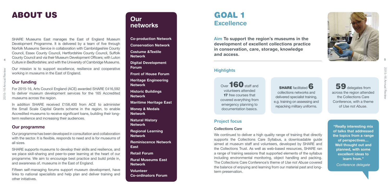

## ABOUT US

SHARE Museums East manages the East of England Museum Development Programme. It is delivered by a team of five through Norfolk Museums Service in collaboration with Cambridgeshire County Council, Essex County Council, Hertfordshire County Council, Suffolk County Council and via their Museum Development Officers; with Luton Culture in Bedfordshire; and with the University of Cambridge Museums.

Our mission is to support excellence, resilience and cooperative working in museums in the East of England.

#### **Our funding**

For 2015-16, Arts Council England (ACE) awarded SHARE £416,592 to deliver museum development services for the 165 Accredited museums across the region.

In addition SHARE received £158,400 from ACE to administer the Small Scale Capital Grants scheme in the region, to enable Accredited museums to receive significant loans, building their longterm resilience and increasing their audiences.

#### **Our programme**

Our programme has been developed in consultation and collaboration with the sector. It is flexible, responds to need and is for museums of all sizes.

Over **160** staff and volunteers attended **17** free courses that covered everything from emergency planning to documentation basics.

SHARE supports museums to develop their skills and resilience, and we place skill-sharing and peer-to-peer learning at the heart of our programme. We aim to encourage best practice and build pride in, and awareness of, museums in the East of England.

**SHARE** facilitated **6** collections networks and delivered specialist training, e.g. training on assessing and repacking military uniforms.

Fifteen self-managing forums support museum development, have links to national specialists and help plan and deliver training and other initiatives.

## **Our networks**

**Co-production Network Conservation Network Costume &Textile Network Digital Development** 

> We continued to deliver a high quality range of training that directly supports the Collections Care Syllabus, a downloadable guide aimed at museum staff and volunteers, developed by SHARE and the Collections Trust. As well as web-based resources, SHARE ran a range of training sessions that supported elements of the syllabus including environmental monitoring, object handling and packing. The Collections Care Conference's theme of *Use not Abuse* covered the balance of enjoying and learning from our material past and longterm preservation.

**Forum**

**Front of House Forum Heritage Engineering Network**

**Historic Buildings Network**

**Maritime Heritage East**

**Money & Medals Network**

**Natural History Network**

**Regional Learning Network**

**Reminiscence Network East**

**Retail Forum**

**Rural Museums East Network**

**Volunteer Co-ordinators Forum**

## GOAL 1 **Excellence**

**Aim To support the region's museums in the development of excellent collections practice in conservation, care, storage, knowledge and access.**

> **"Really interesting mix of talks that addressed the topics from a range of perspectives… Well thought out and planned, with some excellent ideas to learn from."** *Conference delegate*

#### **Highlights**

59 delegates from across the region attended the Collections Care Conference, with a theme of *Use not Abuse* .

#### **Project focus**

#### **Collections Care**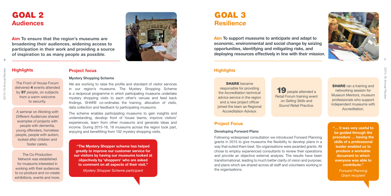

#### **Highlights**

## GOAL 2 **Audiences**

**Aim To ensure that the region's museums are broadening their audiences, widening access to participation in their work and providing a source of inspiration to as many people as possible.**



**"The Mystery Shopper scheme has helped greatly to improve our customer service for our visitors by having our museums looked at objectively by 'shoppers' who are asked to comment on all aspects of their visit."**

*Mystery Shopper Scheme participant*

#### **Project focus**

#### **Mystery Shopping Scheme**

We are working to raise the profile and standard of visitor services in our region's museums. The Mystery Shopping Scheme is a reciprocal programme in which participating museums undertake mystery shopping visits to each other's venues and feed back findings. SHARE co-ordinates the training, allocation of visits, data collection and feedback to participating museums.

The scheme enables participating museums to gain insights and understanding, develop front of house teams, improve visitors' experiences, learn from other museums and generate ideas and income. During 2015-16, 18 museums across the region took part, enjoying and benefitting from 102 mystery shopping visits.

The Front of House Forum delivered 4 events attended by 97 people, on subjects from a warm welcome to security.

**SHARE** became responsible for providing the Accreditation technical advice service in the region and a new project officer joined the team as Regional Accreditation Advisor.

A seminar on *Working with Different Audiences* shared examples of projects with people with dementia, young offenders, homeless people, people with autism, looked after children and foster carers.

**SHARE** ran a training and networking session for Museum Mentors, museum professionals who support independent museums with Accreditation.

19 people attended a Retail Forum training event on *Selling Skills* and *Sound Retail Practice*.

The Co-Production Network was established for museums interested in working with their audiences to co-produce and co-create exhibitions, events and more.

#### **Highlights**

**Aim To support museums to anticipate and adapt to economic, environmental and social change by seizing opportunities, identifying and mitigating risks, and deploying resources effectively in line with their mission.**

> **"… it was very useful to be guided through the procedure … having the skills of a professional leader enabled us to produce a workable document to which everyone was able to contribute."**

> > *Forward Planning Grant recipient*

#### **Project Focus**

#### **Developing Forward Plans**

Following widespread consultation we introduced Forward Planning grants in 2015 to give museums the flexibility to develop plans in a way that suited them best. Six organisations were awarded grants. All chose to employ experienced consultants to review their operations and provide an objective external analysis. The results have been transformational, leading to much better clarity of vision and purpose, and plans which are shared across all staff and volunteers working in the organisations.

## GOAL 3 **Resilience**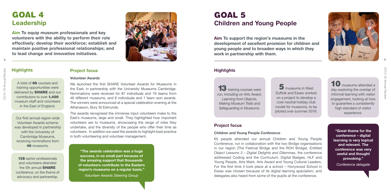# 2015-16 Annual Review 2015-16 Annual

#### **Highlights**

**"The awards celebration was a huge success, in no small part because of the amazing support that thousands of volunteers contribute to the Eastern region's museums on a regular basis."**

*Volunteer Awards Steering Group*

## GOAL 4 **Leadership**

**Aim To equip museum professionals and key volunteers with the ability to perform their role effectively; develop their workforce; establish and maintain positive professional relationships; and to lead change and innovative initiatives.**



#### **Project focus**

#### **Volunteer Awards**

Our first annual region-wide Volunteer Awards scheme was developed in partnership with the University of Cambridge Museums, receiving nominations from 46 museums.

We launched the first SHARE Volunteer Awards for Museums in the East, in partnership with the University Museums Cambridge. Nominations were received for 87 individuals and 19 teams from 46 different museums, and 8 individuals and 1 team won awards. The winners were announced at a special celebration evening at the Athenaeum, Bury St Edmunds.

**138** sector professionals and volunteers attended the 5th annual **SHARE** conference, on the theme of advocacy and partnership.

The awards recognised the immense input volunteers make to the East's museums, large and small. They highlighted how important volunteers are to museums, showcasing the range of roles they undertake, and the diversity of the people who offer their time as volunteers. In addition we used the awards to highlight best practice in both volunteering and volunteer management.

A total of 86 courses and training opportunities were delivered by **SHARE** and our contributors to over 1,400 museum staff and volunteers in the East of England.

**13** training courses were run, including on *Arts Award*, *Learning from Objects, Making Museum Trails* and *Safeguarding in Museums*.

10 museums attended a day exploring the overlap of informal learning with visitor engagement, looking at how to guarantee a consistently high standard of visitor experience.

#### **Highlights**

**Aim To support the region's museums in the development of excellent provision for children and young people and to broaden ways in which they work in partnership with them.**

> **"Great theme for the conference – digital learning is very topical and relevant. The conference was very useful and thought provoking."** *Conference delegate*

#### **Project focus**

#### **Children and Young People Conference**

65 people attended our annual Children and Young People Conference, run in collaboration with the two Bridge organisations in our region (The Festival Bridge and the ROH Bridge). Entitled *Object Lessons 3 – Digital Delights and Dilemmas*, the conference addressed Coding and the Curriculum, Digital Badges, HLF and Young People, Arts Mark, Arts Award and Young Cultural Leaders. For the first time it took place at a school – Honywood School in Essex was chosen because of its digital learning specialism, and delegates also heard from some of the pupils at the conference.



5 museums in West Suffolk and Essex worked on a project to develop a cost-neutral holiday club model for museums, to be piloted over summer 2016.

## GOAL 5 **Children and Young People**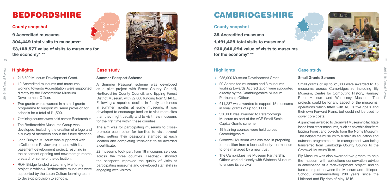



### **Highlights**

- £35,000 Museum Development Grant
- 20 Accredited museums and 3 museums working towards Accreditation were supported directly by the Cambridgeshire Museum Partnership Officer.
- £11,287 was awarded to support 15 museums in small grants of up to £1,000.
- £50,000 was awarded to Peterborough Museum as part of the ACE Small Scale Capital Grants scheme.
- 19 training courses were held across Cambridgeshire.
- Cromwell Museum was assisted in preparing to transition from a local authority-run museum to one managed by a new trust.
- The Cambridgeshire Museum Partnership Officer worked closely with Wisbech Museum to ensure its survival.

#### **Case study**

#### **Small Grants Scheme**

Small grants of up to £1,000 were awarded to 15 museums across Cambridgeshire including Ely Museum, Centre for Computing History, Ramsey Rural Museum and Whittlesey Museum. The projects could be for any aspect of the museums' operations which fitted with ACE's five goals and their own Forward Plans, but could not be used to cover core costs.

A grant was awarded to Cromwell Museum to facilitate loans from other museums, such as an exhibition from Epping Forest and objects from the Norris Museum. This helped the museum to sustain its education and outreach programme as its management was being transferred from Cambridge County Council to the Cromwell Museum Trust.

- £18,500 Museum Development Grant.
- 12 Accredited museums and museums working towards Accreditation were supported directly by the Bedfordshire Museum Development Officer.
- Two grants were awarded in a small grants programme to support museum provision for schools for a total of £1,500.
- 7 training courses were held across Bedfordshire.
- The Bedfordshire Museums Group was developed, including the creation of a logo and a survey of members about the future direction.
- John Bunyan Museum was supported with a Collections Review project and with its basement development project, resulting in the basement opening and new storage rooms created for some of the collection.
- ROH Bridge funded a Learning Mentoring project in which 4 Bedfordshire museums were supported by the Luton Culture learning team to develop provision to schools.

Ely Museum was also awarded two grants: to help the museum with collections conservation advice in anticipation of a redevelopment project, and to fund a project between the Museum and Littleport School, commemorating 200 years since the Littleport and Ely riots of May 1816.

#### **County snapshot**

35 **Accredited museums** 

1,491,429 **total visits to museums\***

£30,840,294 **value of visits to museums for the economy\* \*\*** 

## CAMBRIDGESHIRE

### **Highlights**

#### **Case study**

#### **Summer Passport Scheme**

A Summer Passport scheme was developed as a pilot project with Essex County Council, Hertfordshire County Council, and Epping Forest District Museum, with £2,000 funding from SHARE. Following a reported decline in family audiences in summer months at some museums, it was developed to encourage families to visit more sites than they might usually and to visit new museums for the first time within these counties.

The aim was for participating museums to crosspromote each other for families to visit several sites, getting their passports stamped at each location and completing 'missions' to be awarded a certificate.

22 museums took part from 18 museums services across the three counties. Feedback showed the passports improved the quality of visits at participating museums and developed staff skills in engaging with visitors.

#### **County snapshot**

9 **Accredited museums** 

304,449 **total visits to museums\***

£3,108,577 **value of visits to museums for the economy\* \*\***



## BEDFORDSHIRE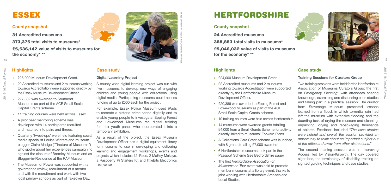



## **Highlights**

- £25,000 Museum Development Grant.
- 29 Accredited museums and 2 museums working towards Accreditation were supported directly by the Essex Museum Development Officer.
- £27,382 was awarded to Southend Museums as part of the ACE Small Scale Capital Grants scheme.
- 11 training courses were held across Essex.
- A pilot peer mentoring scheme was developed with 14 participants recruited and matched into pairs and threes.
- Quarterly 'tweet-ups' were held featuring social media specialist Louise Winters and museum blogger Claire Madge ("Tincture of Museums") who spoke about her experiences campaigning against the closure of Bromley Museum and as Blogger-in-Residence at the RAF Museum.
- The Museum of Power was supported with a governance review, recruitment of a mentor and with the recruitment and work with two local primary schools as part of Takeover Day.

#### **Case study**

#### **Digital Learning Project**

A county-wide digital learning project was run with five museums, to develop new ways of engaging children and young people with collections using digital media. Participating museums could access funding of up to £500 each for the project.

For example, Essex Police Museum used iPads to recreate a historic crime-scene digitally and to enable young people to investigate. Epping Forest and Lowewood Museums ran digital training for their youth panel, who incorporated it into a temporary exhibition.

- £24,000 Museum Development Grant.
- 22 Accredited museums and 2 museums working towards Accreditation were supported directly by the Hertfordshire Museum Development Officer.
- £20,386 was awarded to Epping Forest and Lowewood Museums as part of the ACE Small Scale Capital Grants scheme.
- 10 training courses were held across Hertfordshire.
- 14 museums were awarded grants totalling £4,000 from a Small Grants Scheme for activity directly linked to museums' Forward Plans.
- A Collections Care Grant scheme was launched with 8 grants totalling £7,000 awarded.
- 6 Hertfordshire museums took part in the Passport Scheme (see Bedfordshire page).
- The first *Hertfordshire Association of Museums on Tour* event was held to promote member museums at a library event, thanks to joint working with Hertfordshire Archives and Local Studies.

As a result of the project, the Essex Museum Development Officer has a digital equipment library for museums to use in developing and delivering learning and engagement workshops, events and projects which includes 12 iPads, 2 MaKey Makeys, a Raspberry Pi Starters Kit and littleBits Electronics Deluxe Kit.

The second training session was in Improving Access, led by Vision4Growth. The day covered sight loss, the terminology of disability, training on sighted guiding techniques and case studies.

#### **County snapshot**

31 **Accredited museums**

373,375 **total visits to museums\***

£5,536,142 **value of visits to museums for the economy\* \*\***

## ESSEX

### **Highlights**

#### **Case study**

#### **Training Sessions for Curators Group**

Two training sessions were held for the Hertfordshire Association of Museums Curators Group: the first on *Emergency Planning*, with attendees sharing knowledge, examining and discussing case studies and taking part in a practical session. The curator from Stevenage Museum presented lessons learned from a flood, in which torrential rain had left the museum with extensive flooding and the daunting task of drying the museum and cleaning, unpacking, drying and repackaging thousands of objects. Feedback included "*The case studies were helpful and overall the session provided an opportunity to think about an important subject out of the office and away from other distractions.*"

#### **County snapshot**

24 **Accredited museums** 

388,883 **total visits to museums\***

£5,046,032 **value of visits to museums for the economy\* \*\*** 

## HERTFORDSHIRE

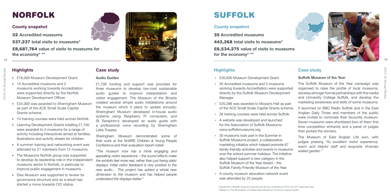

![](_page_7_Picture_34.jpeg)

### **Highlights**

- £35,000 Museum Development Grant.
- 35 Accredited museums and 5 museums working towards Accreditation were supported directly by the Suffolk Museum Development Manager.
- £20,386 was awarded to Moyse's Hall as part of the ACE Small Scale Capital Grants scheme.
- 26 training courses were held across Suffolk.
- A website was developed and launched for the Association of Suffolk Museums: www.suffolkmuseums.org.
- 30 museums took part in the Summer in Suffolk Museums project, a collaborative marketing initiative which helped promote 67 family-friendly activities and events in museums over the school summer holidays. The initiative also helped support a new category in the Suffolk Museum of the Year Award – the Suffolk Family-Friendly Museum of the Year.
- A county museum education network event was attended by 25 people.

#### **Case study**

#### **Suffolk Museum of the Year**

The Suffolk Museum of the Year campaign was organised to raise the profile of local museums, develop stronger formal partnerships with the media and University College Suffolk, and develop the marketing awareness and skills of some museums.

It launched on BBC Radio Suffolk and in the East Anglian Daily Times and members of the public were invited to nominate their favourite museum. Seven museums were shortlisted (two of them first time competition entrants) and a panel of judges then picked the winners.

- £16,000 Museum Development Grant.
- 13 Accredited museums and 2 museums working towards Accreditation were supported directly by the Norfolk Museum Development Officer.
- £34,000 was awarded to Sheringham Museum as part of the ACE Small Scale Capital Grants scheme.
- 10 training courses were held across Norfolk.
- Learning Development Grants totalling £1,100 were awarded to 4 museums for a range of activity including interactives aimed at families, illustrations and activity sheets for children.
- A summer training and networking event was attended by 21 members from 12 museums.
- The Museums Norfolk group was supported to develop its leadership role in the independent museums sector in Norfolk, in particular to improve public engagement in museums.
- Diss Museum was supported to review its governance structure and as a result has started a move towards CIO status.

The Museum of East Anglian Life won, with judges praising *"its excellent visitor experience, warm and helpful staff and exquisite Victorian walled garden."*

#### **County snapshot**

35 **Accredited museums**  443,268 **total visits to museums\*** £6,534,275 **value of visits to museums for the economy\* \*\*** 

## SUFFOLK

#### **Highlights**

#### **Case study**

#### **Audio Guides**

£1,700 funding and support was provided for three museums to develop low-cost sustainable audio guides to improve interpretation and visitor engagement. The Museum of the Broads created several simple audio installations around the museum which it plans to update annually; Sheringham Museum developed in-house audio systems using Raspberry Pi computers; and St Seraphim's developed an audio quide with a professional voice recording by Sheringham Little Theatre.

Sheringham Museum demonstrated some of their work at the SHARE Children & Young People Conference and their evaluation report noted:

*"The museum now has a more engaging and appealing visitor experience – the sound effects make the exhibits feel more real, rather than just being static displays. Initial visitor feedback is very positive to the new audio… This project has added a whole new dimension to the museum and has helped people understand the displays better."*

#### **County snapshot**

32 **Accredited museums**

537,237 **total visits to museums\***

£8,687,764 **value of visits to museums for the economy\* \*\***

![](_page_7_Picture_5.jpeg)

## NORFOLK